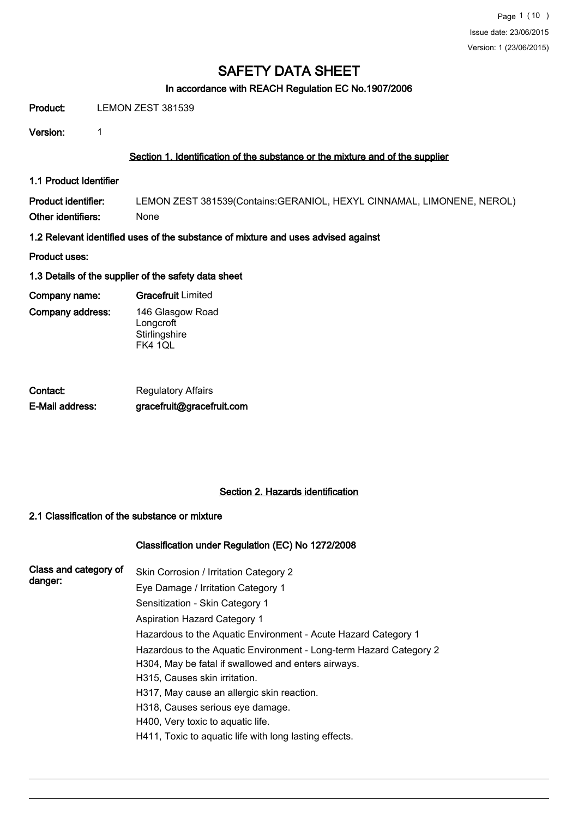#### In accordance with REACH Regulation EC No.1907/2006

Product: LEMON ZEST 381539

Version: 1

### Section 1. Identification of the substance or the mixture and of the supplier

1.1 Product Identifier

Product identifier: LEMON ZEST 381539(Contains:GERANIOL, HEXYL CINNAMAL, LIMONENE, NEROL) Other identifiers: None

- 1.2 Relevant identified uses of the substance of mixture and uses advised against
- Product uses:
- 1.3 Details of the supplier of the safety data sheet
- Company name: Gracefruit Limited
- Company address:

146 Glasgow Road **Longcroft Stirlingshire** 

FK4 1QL

| Contact:        | <b>Regulatory Affairs</b> |
|-----------------|---------------------------|
| E-Mail address: | gracefruit@gracefruit.com |

### Section 2. Hazards identification

### 2.1 Classification of the substance or mixture

### Classification under Regulation (EC) No 1272/2008

| Class and category of<br>danger: | Skin Corrosion / Irritation Category 2                             |
|----------------------------------|--------------------------------------------------------------------|
|                                  | Eye Damage / Irritation Category 1                                 |
|                                  | Sensitization - Skin Category 1                                    |
|                                  | <b>Aspiration Hazard Category 1</b>                                |
|                                  | Hazardous to the Aquatic Environment - Acute Hazard Category 1     |
|                                  | Hazardous to the Aquatic Environment - Long-term Hazard Category 2 |
|                                  | H304, May be fatal if swallowed and enters airways.                |
|                                  | H315, Causes skin irritation.                                      |
|                                  | H317, May cause an allergic skin reaction.                         |
|                                  | H318, Causes serious eye damage.                                   |
|                                  | H400, Very toxic to aquatic life.                                  |
|                                  | H411, Toxic to aquatic life with long lasting effects.             |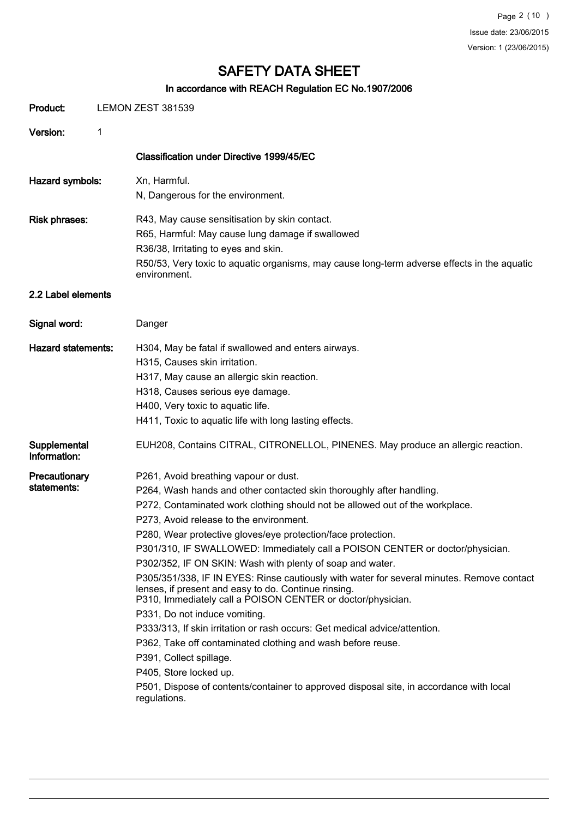## In accordance with REACH Regulation EC No.1907/2006

| Product:                     |   | LEMON ZEST 381539                                                                                                                                                                                                                                                                                                                                                                                                                                                                                                                                                                                                                                                                                                                                                                                                                                                                                                                                                                                                        |  |  |  |
|------------------------------|---|--------------------------------------------------------------------------------------------------------------------------------------------------------------------------------------------------------------------------------------------------------------------------------------------------------------------------------------------------------------------------------------------------------------------------------------------------------------------------------------------------------------------------------------------------------------------------------------------------------------------------------------------------------------------------------------------------------------------------------------------------------------------------------------------------------------------------------------------------------------------------------------------------------------------------------------------------------------------------------------------------------------------------|--|--|--|
| Version:                     | 1 |                                                                                                                                                                                                                                                                                                                                                                                                                                                                                                                                                                                                                                                                                                                                                                                                                                                                                                                                                                                                                          |  |  |  |
|                              |   | Classification under Directive 1999/45/EC                                                                                                                                                                                                                                                                                                                                                                                                                                                                                                                                                                                                                                                                                                                                                                                                                                                                                                                                                                                |  |  |  |
| Hazard symbols:              |   | Xn, Harmful.<br>N, Dangerous for the environment.                                                                                                                                                                                                                                                                                                                                                                                                                                                                                                                                                                                                                                                                                                                                                                                                                                                                                                                                                                        |  |  |  |
| <b>Risk phrases:</b>         |   | R43, May cause sensitisation by skin contact.<br>R65, Harmful: May cause lung damage if swallowed<br>R36/38, Irritating to eyes and skin.<br>R50/53, Very toxic to aquatic organisms, may cause long-term adverse effects in the aquatic<br>environment.                                                                                                                                                                                                                                                                                                                                                                                                                                                                                                                                                                                                                                                                                                                                                                 |  |  |  |
| 2.2 Label elements           |   |                                                                                                                                                                                                                                                                                                                                                                                                                                                                                                                                                                                                                                                                                                                                                                                                                                                                                                                                                                                                                          |  |  |  |
| Signal word:                 |   | Danger                                                                                                                                                                                                                                                                                                                                                                                                                                                                                                                                                                                                                                                                                                                                                                                                                                                                                                                                                                                                                   |  |  |  |
| <b>Hazard statements:</b>    |   | H304, May be fatal if swallowed and enters airways.<br>H315, Causes skin irritation.<br>H317, May cause an allergic skin reaction.<br>H318, Causes serious eye damage.<br>H400, Very toxic to aquatic life.<br>H411, Toxic to aquatic life with long lasting effects.                                                                                                                                                                                                                                                                                                                                                                                                                                                                                                                                                                                                                                                                                                                                                    |  |  |  |
| Supplemental<br>Information: |   | EUH208, Contains CITRAL, CITRONELLOL, PINENES. May produce an allergic reaction.                                                                                                                                                                                                                                                                                                                                                                                                                                                                                                                                                                                                                                                                                                                                                                                                                                                                                                                                         |  |  |  |
| Precautionary<br>statements: |   | P261, Avoid breathing vapour or dust.<br>P264, Wash hands and other contacted skin thoroughly after handling.<br>P272, Contaminated work clothing should not be allowed out of the workplace.<br>P273, Avoid release to the environment.<br>P280, Wear protective gloves/eye protection/face protection.<br>P301/310, IF SWALLOWED: Immediately call a POISON CENTER or doctor/physician.<br>P302/352, IF ON SKIN: Wash with plenty of soap and water.<br>P305/351/338, IF IN EYES: Rinse cautiously with water for several minutes. Remove contact<br>lenses, if present and easy to do. Continue rinsing.<br>P310, Immediately call a POISON CENTER or doctor/physician.<br>P331, Do not induce vomiting.<br>P333/313, If skin irritation or rash occurs: Get medical advice/attention.<br>P362, Take off contaminated clothing and wash before reuse.<br>P391, Collect spillage.<br>P405, Store locked up.<br>P501, Dispose of contents/container to approved disposal site, in accordance with local<br>regulations. |  |  |  |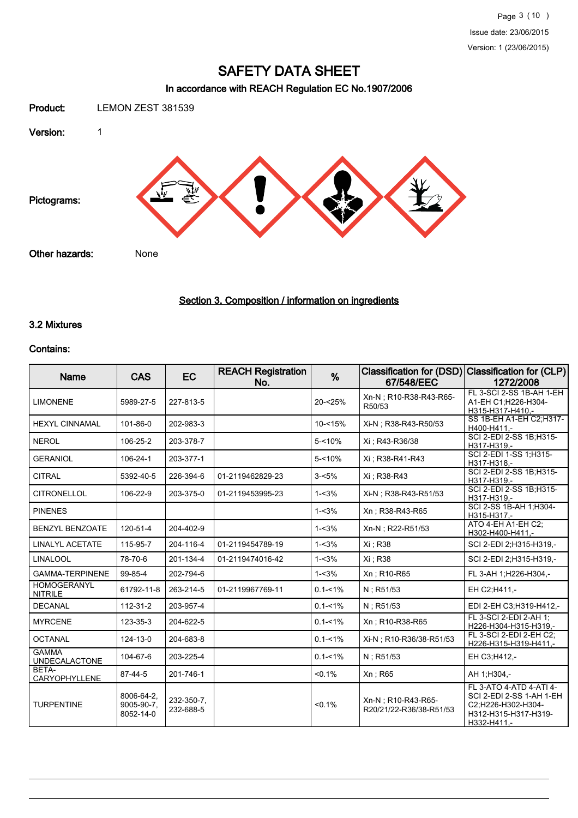## In accordance with REACH Regulation EC No.1907/2006



## Section 3. Composition / information on ingredients

#### 3.2 Mixtures

#### Contains:

| <b>Name</b>                          | <b>CAS</b>                            | EC                      | <b>REACH Registration</b><br>No. | %           | <b>Classification for (DSD)</b><br>67/548/EEC | <b>Classification for (CLP)</b><br>1272/2008                                                                     |
|--------------------------------------|---------------------------------------|-------------------------|----------------------------------|-------------|-----------------------------------------------|------------------------------------------------------------------------------------------------------------------|
| <b>LIMONENE</b>                      | 5989-27-5                             | 227-813-5               |                                  | 20-<25%     | Xn-N ; R10-R38-R43-R65-<br>R50/53             | FL 3-SCI 2-SS 1B-AH 1-EH<br>A1-EH C1;H226-H304-<br>H315-H317-H410.-                                              |
| <b>HEXYL CINNAMAL</b>                | 101-86-0                              | 202-983-3               |                                  | $10 - 15%$  | Xi-N; R38-R43-R50/53                          | SS 1B-EH A1-EH C2:H317-<br>H400-H411,-                                                                           |
| <b>NEROL</b>                         | 106-25-2                              | 203-378-7               |                                  | $5 - 10%$   | Xi : R43-R36/38                               | SCI 2-EDI 2-SS 1B; H315-<br>H317-H319.-                                                                          |
| <b>GERANIOL</b>                      | 106-24-1                              | 203-377-1               |                                  | $5 - 10%$   | Xi: R38-R41-R43                               | SCI 2-EDI 1-SS 1;H315-<br>H317-H318,-                                                                            |
| <b>CITRAL</b>                        | 5392-40-5                             | 226-394-6               | 01-2119462829-23                 | $3 - 5%$    | Xi : R38-R43                                  | SCI 2-EDI 2-SS 1B;H315-<br>H317-H319.-                                                                           |
| <b>CITRONELLOL</b>                   | 106-22-9                              | 203-375-0               | 01-2119453995-23                 | $1 - 3%$    | Xi-N : R38-R43-R51/53                         | SCI 2-EDI 2-SS 1B;H315-<br>H317-H319,-                                                                           |
| <b>PINENES</b>                       |                                       |                         |                                  | $1 - 3%$    | Xn: R38-R43-R65                               | SCI 2-SS 1B-AH 1;H304-<br>H315-H317,-                                                                            |
| <b>BENZYL BENZOATE</b>               | 120-51-4                              | 204-402-9               |                                  | $1 - 3%$    | Xn-N ; R22-R51/53                             | ATO 4-EH A1-EH C2:<br>H302-H400-H411,-                                                                           |
| <b>LINALYL ACETATE</b>               | 115-95-7                              | 204-116-4               | 01-2119454789-19                 | $1 - 3%$    | Xi : R38                                      | SCI 2-EDI 2:H315-H319,-                                                                                          |
| <b>LINALOOL</b>                      | 78-70-6                               | 201-134-4               | 01-2119474016-42                 | $1 - 3%$    | Xi : R38                                      | SCI 2-EDI 2:H315-H319,-                                                                                          |
| <b>GAMMA-TERPINENE</b>               | 99-85-4                               | 202-794-6               |                                  | $1 - 3%$    | Xn; R10-R65                                   | FL 3-AH 1;H226-H304,-                                                                                            |
| <b>HOMOGERANYL</b><br><b>NITRILE</b> | 61792-11-8                            | 263-214-5               | 01-2119967769-11                 | $0.1 - 1\%$ | $N:$ R51/53                                   | EH C2:H411,-                                                                                                     |
| <b>DECANAL</b>                       | $112 - 31 - 2$                        | 203-957-4               |                                  | $0.1 - 1\%$ | N: R51/53                                     | EDI 2-EH C3;H319-H412,-                                                                                          |
| <b>MYRCENE</b>                       | 123-35-3                              | 204-622-5               |                                  | $0.1 - 1\%$ | Xn: R10-R38-R65                               | FL 3-SCI 2-EDI 2-AH 1:<br>H226-H304-H315-H319.-                                                                  |
| <b>OCTANAL</b>                       | 124-13-0                              | 204-683-8               |                                  | $0.1 - 1\%$ | Xi-N : R10-R36/38-R51/53                      | FL 3-SCI 2-EDI 2-EH C2;<br>H226-H315-H319-H411 -                                                                 |
| <b>GAMMA</b><br><b>UNDECALACTONE</b> | 104-67-6                              | 203-225-4               |                                  | $0.1 - 1\%$ | $N:$ R51/53                                   | EH C3;H412,-                                                                                                     |
| BETA-<br>CARYOPHYLLENE               | 87-44-5                               | 201-746-1               |                                  | < 0.1%      | Xn ; R65                                      | AH 1:H304,-                                                                                                      |
| <b>TURPENTINE</b>                    | 8006-64-2.<br>9005-90-7.<br>8052-14-0 | 232-350-7.<br>232-688-5 |                                  | < 0.1%      | Xn-N; R10-R43-R65-<br>R20/21/22-R36/38-R51/53 | FL 3-ATO 4-ATD 4-ATI 4-<br>SCI 2-EDI 2-SS 1-AH 1-EH<br>C2;H226-H302-H304-<br>H312-H315-H317-H319-<br>H332-H411,- |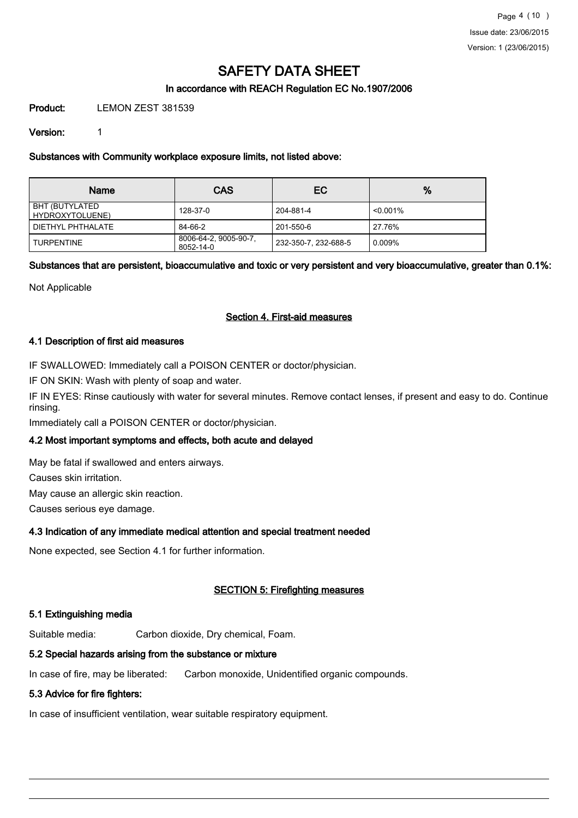### In accordance with REACH Regulation EC No.1907/2006

Product: LEMON ZEST 381539

Version: 1

Substances with Community workplace exposure limits, not listed above:

| <b>Name</b>                       | <b>CAS</b>                         | EC.                  | %           |
|-----------------------------------|------------------------------------|----------------------|-------------|
| BHT (BUTYLATED<br>HYDROXYTOLUENE) | 128-37-0                           | 204-881-4            | $< 0.001\%$ |
| DIETHYL PHTHALATE                 | 84-66-2                            | 201-550-6            | 27.76%      |
| <b>TURPENTINE</b>                 | 8006-64-2, 9005-90-7,<br>8052-14-0 | 232-350-7, 232-688-5 | 0.009%      |

### Substances that are persistent, bioaccumulative and toxic or very persistent and very bioaccumulative, greater than 0.1%:

Not Applicable

### Section 4. First-aid measures

#### 4.1 Description of first aid measures

IF SWALLOWED: Immediately call a POISON CENTER or doctor/physician.

IF ON SKIN: Wash with plenty of soap and water.

IF IN EYES: Rinse cautiously with water for several minutes. Remove contact lenses, if present and easy to do. Continue rinsing.

Immediately call a POISON CENTER or doctor/physician.

### 4.2 Most important symptoms and effects, both acute and delayed

May be fatal if swallowed and enters airways.

Causes skin irritation.

May cause an allergic skin reaction.

Causes serious eye damage.

### 4.3 Indication of any immediate medical attention and special treatment needed

None expected, see Section 4.1 for further information.

### SECTION 5: Firefighting measures

### 5.1 Extinguishing media

Suitable media: Carbon dioxide, Dry chemical, Foam.

### 5.2 Special hazards arising from the substance or mixture

In case of fire, may be liberated: Carbon monoxide, Unidentified organic compounds.

### 5.3 Advice for fire fighters:

In case of insufficient ventilation, wear suitable respiratory equipment.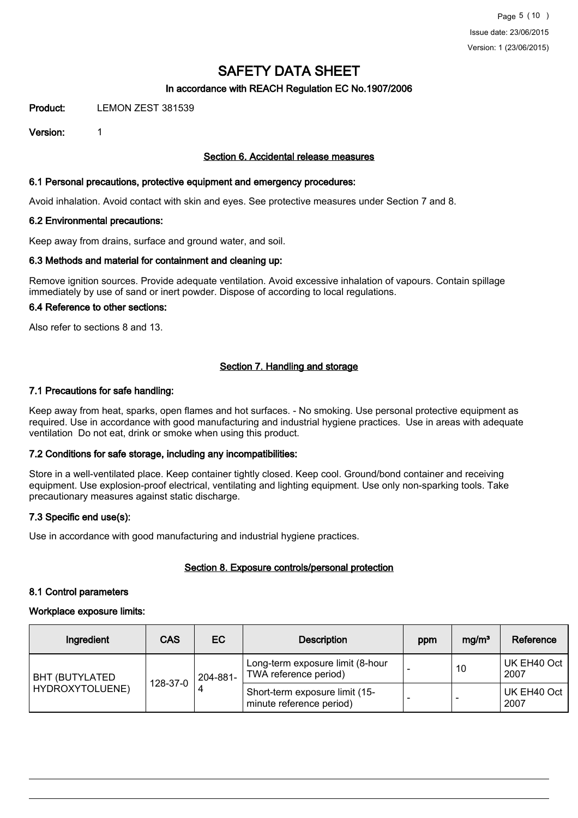### In accordance with REACH Regulation EC No.1907/2006

**Product:** LEMON ZEST 381539

Version: 1

#### Section 6. Accidental release measures

#### 6.1 Personal precautions, protective equipment and emergency procedures:

Avoid inhalation. Avoid contact with skin and eyes. See protective measures under Section 7 and 8.

#### 6.2 Environmental precautions:

Keep away from drains, surface and ground water, and soil.

#### 6.3 Methods and material for containment and cleaning up:

Remove ignition sources. Provide adequate ventilation. Avoid excessive inhalation of vapours. Contain spillage immediately by use of sand or inert powder. Dispose of according to local regulations.

## 6.4 Reference to other sections:

Also refer to sections 8 and 13.

### Section 7. Handling and storage

#### 7.1 Precautions for safe handling:

Keep away from heat, sparks, open flames and hot surfaces. - No smoking. Use personal protective equipment as required. Use in accordance with good manufacturing and industrial hygiene practices. Use in areas with adequate ventilation Do not eat, drink or smoke when using this product.

### 7.2 Conditions for safe storage, including any incompatibilities:

Store in a well-ventilated place. Keep container tightly closed. Keep cool. Ground/bond container and receiving equipment. Use explosion-proof electrical, ventilating and lighting equipment. Use only non-sparking tools. Take precautionary measures against static discharge.

### 7.3 Specific end use(s):

Use in accordance with good manufacturing and industrial hygiene practices.

### Section 8. Exposure controls/personal protection

#### 8.1 Control parameters

#### Workplace exposure limits:

| Ingredient                        | <b>CAS</b>    | EC       | <b>Description</b>                                         | ppm | mg/m <sup>3</sup> | Reference           |
|-----------------------------------|---------------|----------|------------------------------------------------------------|-----|-------------------|---------------------|
| BHT (BUTYLATED<br>HYDROXYTOLUENE) | 128-37-0<br>4 | 204-881- | Long-term exposure limit (8-hour<br>TWA reference period)  |     | 10                | UK EH40 Oct<br>2007 |
|                                   |               |          | Short-term exposure limit (15-<br>minute reference period) |     |                   | UK EH40 Oct<br>2007 |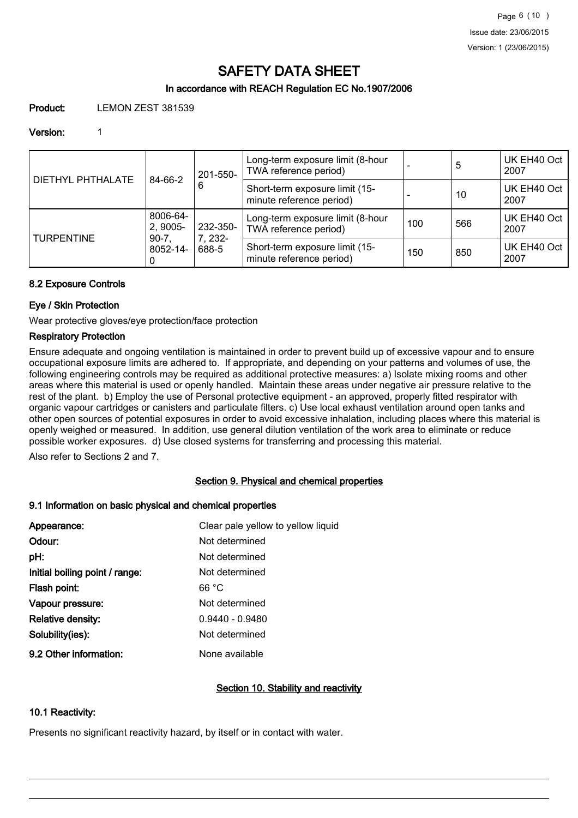### In accordance with REACH Regulation EC No.1907/2006

Product: LEMON ZEST 381539

#### Version: 1

| <b>DIETHYL PHTHALATE</b> | 84-66-2                                    | 201-550-<br>6 | Long-term exposure limit (8-hour<br>TWA reference period)  |     | 5   | UK EH40 Oct<br>2007 |
|--------------------------|--------------------------------------------|---------------|------------------------------------------------------------|-----|-----|---------------------|
|                          |                                            |               | Short-term exposure limit (15-<br>minute reference period) |     | 10  | UK EH40 Oct<br>2007 |
| <b>TURPENTINE</b>        | 8006-64-<br>2, 9005-                       | 232-350-      | Long-term exposure limit (8-hour<br>TWA reference period)  | 100 | 566 | UK EH40 Oct<br>2007 |
|                          | 7, 232-<br>$90 - 7$ .<br>8052-14-<br>688-5 |               | Short-term exposure limit (15-<br>minute reference period) | 150 | 850 | UK EH40 Oct<br>2007 |

### 8.2 Exposure Controls

### Eye / Skin Protection

Wear protective gloves/eye protection/face protection

#### Respiratory Protection

Ensure adequate and ongoing ventilation is maintained in order to prevent build up of excessive vapour and to ensure occupational exposure limits are adhered to. If appropriate, and depending on your patterns and volumes of use, the following engineering controls may be required as additional protective measures: a) Isolate mixing rooms and other areas where this material is used or openly handled. Maintain these areas under negative air pressure relative to the rest of the plant. b) Employ the use of Personal protective equipment - an approved, properly fitted respirator with organic vapour cartridges or canisters and particulate filters. c) Use local exhaust ventilation around open tanks and other open sources of potential exposures in order to avoid excessive inhalation, including places where this material is openly weighed or measured. In addition, use general dilution ventilation of the work area to eliminate or reduce possible worker exposures. d) Use closed systems for transferring and processing this material.

Also refer to Sections 2 and 7.

### Section 9. Physical and chemical properties

#### 9.1 Information on basic physical and chemical properties

| Appearance:                    | Clear pale yellow to yellow liquid |
|--------------------------------|------------------------------------|
| Odour:                         | Not determined                     |
| pH:                            | Not determined                     |
| Initial boiling point / range: | Not determined                     |
| Flash point:                   | 66 °C                              |
| Vapour pressure:               | Not determined                     |
| <b>Relative density:</b>       | $0.9440 - 0.9480$                  |
| Solubility(ies):               | Not determined                     |
| 9.2 Other information:         | None available                     |

### Section 10. Stability and reactivity

### 10.1 Reactivity:

Presents no significant reactivity hazard, by itself or in contact with water.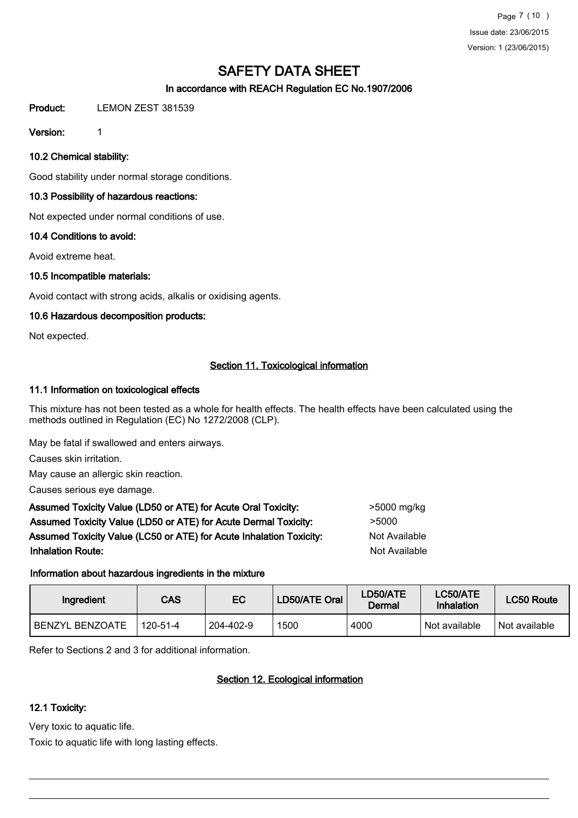Page 7 (10 ) Issue date: 23/06/2015 Version: 1 (23/06/2015)

# SAFETY DATA SHEET

### In accordance with REACH Regulation EC No.1907/2006

Product: LEMON ZEST 381539

Version: 1

10.2 Chemical stability:

Good stability under normal storage conditions.

## 10.3 Possibility of hazardous reactions:

Not expected under normal conditions of use.

### 10.4 Conditions to avoid:

Avoid extreme heat.

### 10.5 Incompatible materials:

Avoid contact with strong acids, alkalis or oxidising agents.

### 10.6 Hazardous decomposition products:

Not expected.

## Section 11. Toxicological information

### 11.1 Information on toxicological effects

This mixture has not been tested as a whole for health effects. The health effects have been calculated using the methods outlined in Regulation (EC) No 1272/2008 (CLP).

May be fatal if swallowed and enters airways.

Causes skin irritation.

May cause an allergic skin reaction.

Causes serious eye damage.

Assumed Toxicity Value (LD50 or ATE) for Acute Oral Toxicity: <br> Assumed Toxicity Value (LD50 or ATE) for Acute Dermal Toxicity: > 5000 Assumed Toxicity Value (LC50 or ATE) for Acute Inhalation Toxicity: Not Available **Inhalation Route:** Not Available in the United States of Available in the United States of Available in the United States of Available in the United States of Available in the United States of Available in the United Stat

### Information about hazardous ingredients in the mixture

| Ingredient             | <b>CAS</b>     | LD50/ATE Oral<br>EC |      | <b>LD50/ATE</b><br>Dermal | LC50/ATE<br>Inhalation | LC50 Route    |
|------------------------|----------------|---------------------|------|---------------------------|------------------------|---------------|
| <b>BENZYL BENZOATE</b> | $120 - 51 - 4$ | 204-402-9           | 1500 | 4000                      | 'Not available         | Not available |

Refer to Sections 2 and 3 for additional information.

## Section 12. Ecological information

### 12.1 Toxicity:

Very toxic to aquatic life.

Toxic to aquatic life with long lasting effects.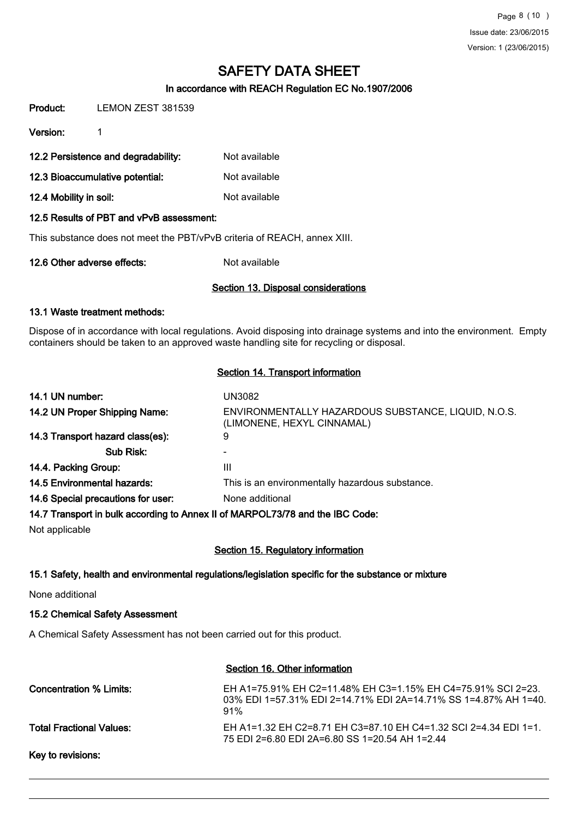#### In accordance with REACH Regulation EC No.1907/2006

Product: LEMON ZEST 381539

Version: 1

12.2 Persistence and degradability: Not available

12.3 Bioaccumulative potential: Not available

12.4 Mobility in soil: Not available

#### 12.5 Results of PBT and vPvB assessment:

This substance does not meet the PBT/vPvB criteria of REACH, annex XIII.

12.6 Other adverse effects: Not available

#### Section 13. Disposal considerations

#### 13.1 Waste treatment methods:

Dispose of in accordance with local regulations. Avoid disposing into drainage systems and into the environment. Empty containers should be taken to an approved waste handling site for recycling or disposal.

#### Section 14. Transport information

| 14.1 UN number:                    | UN3082                                                                            |
|------------------------------------|-----------------------------------------------------------------------------------|
| 14.2 UN Proper Shipping Name:      | ENVIRONMENTALLY HAZARDOUS SUBSTANCE, LIQUID, N.O.S.<br>(LIMONENE, HEXYL CINNAMAL) |
| 14.3 Transport hazard class(es):   | 9                                                                                 |
| Sub Risk:                          |                                                                                   |
| 14.4. Packing Group:               | Ш                                                                                 |
| 14.5 Environmental hazards:        | This is an environmentally hazardous substance.                                   |
| 14.6 Special precautions for user: | None additional                                                                   |
|                                    | 14.7 Transport in bulk according to Annex II of MARPOL73/78 and the IBC Code:     |

Not applicable

### Section 15. Regulatory information

### 15.1 Safety, health and environmental regulations/legislation specific for the substance or mixture

None additional

#### 15.2 Chemical Safety Assessment

A Chemical Safety Assessment has not been carried out for this product.

#### Section 16. Other information

| Concentration % Limits:  | EH A1=75.91% EH C2=11.48% EH C3=1.15% EH C4=75.91% SCI 2=23.<br>03% EDI 1=57.31% EDI 2=14.71% EDI 2A=14.71% SS 1=4.87% AH 1=40.<br>91% |
|--------------------------|----------------------------------------------------------------------------------------------------------------------------------------|
| Total Fractional Values: | EH A1=1.32 EH C2=8.71 EH C3=87.10 EH C4=1.32 SCI 2=4.34 EDI 1=1.<br>75 EDI 2=6.80 EDI 2A=6.80 SS 1=20.54 AH 1=2.44                     |
|                          |                                                                                                                                        |

Key to revisions: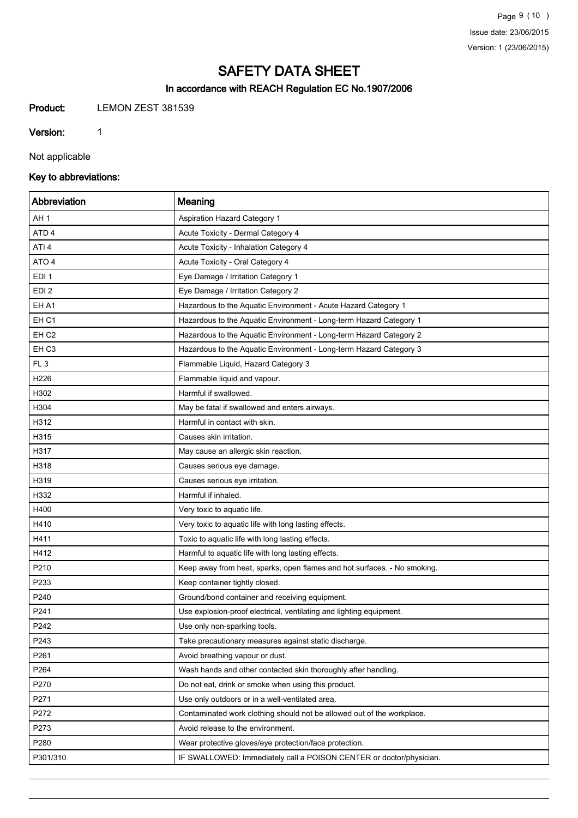## In accordance with REACH Regulation EC No.1907/2006

Product: LEMON ZEST 381539

Version: 1

Not applicable

## Key to abbreviations:

| Abbreviation     | Meaning                                                                  |
|------------------|--------------------------------------------------------------------------|
| AH <sub>1</sub>  | Aspiration Hazard Category 1                                             |
| ATD <sub>4</sub> | Acute Toxicity - Dermal Category 4                                       |
| ATI 4            | Acute Toxicity - Inhalation Category 4                                   |
| ATO <sub>4</sub> | Acute Toxicity - Oral Category 4                                         |
| EDI <sub>1</sub> | Eye Damage / Irritation Category 1                                       |
| EDI <sub>2</sub> | Eye Damage / Irritation Category 2                                       |
| EH A1            | Hazardous to the Aquatic Environment - Acute Hazard Category 1           |
| EH <sub>C1</sub> | Hazardous to the Aquatic Environment - Long-term Hazard Category 1       |
| EH <sub>C2</sub> | Hazardous to the Aquatic Environment - Long-term Hazard Category 2       |
| EH <sub>C3</sub> | Hazardous to the Aquatic Environment - Long-term Hazard Category 3       |
| FL <sub>3</sub>  | Flammable Liquid, Hazard Category 3                                      |
| H226             | Flammable liquid and vapour.                                             |
| H302             | Harmful if swallowed.                                                    |
| H304             | May be fatal if swallowed and enters airways.                            |
| H312             | Harmful in contact with skin.                                            |
| H315             | Causes skin irritation.                                                  |
| H317             | May cause an allergic skin reaction.                                     |
| H318             | Causes serious eye damage.                                               |
| H319             | Causes serious eye irritation.                                           |
| H332             | Harmful if inhaled.                                                      |
| H400             | Very toxic to aquatic life.                                              |
| H410             | Very toxic to aquatic life with long lasting effects.                    |
| H411             | Toxic to aquatic life with long lasting effects.                         |
| H412             | Harmful to aquatic life with long lasting effects.                       |
| P210             | Keep away from heat, sparks, open flames and hot surfaces. - No smoking. |
| P233             | Keep container tightly closed.                                           |
| P240             | Ground/bond container and receiving equipment.                           |
| P241             | Use explosion-proof electrical, ventilating and lighting equipment.      |
| P242             | Use only non-sparking tools.                                             |
| P243             | Take precautionary measures against static discharge.                    |
| P261             | Avoid breathing vapour or dust.                                          |
| P264             | Wash hands and other contacted skin thoroughly after handling.           |
| P270             | Do not eat, drink or smoke when using this product.                      |
| P271             | Use only outdoors or in a well-ventilated area.                          |
| P272             | Contaminated work clothing should not be allowed out of the workplace.   |
| P273             | Avoid release to the environment.                                        |
| P280             | Wear protective gloves/eye protection/face protection.                   |
| P301/310         | IF SWALLOWED: Immediately call a POISON CENTER or doctor/physician.      |